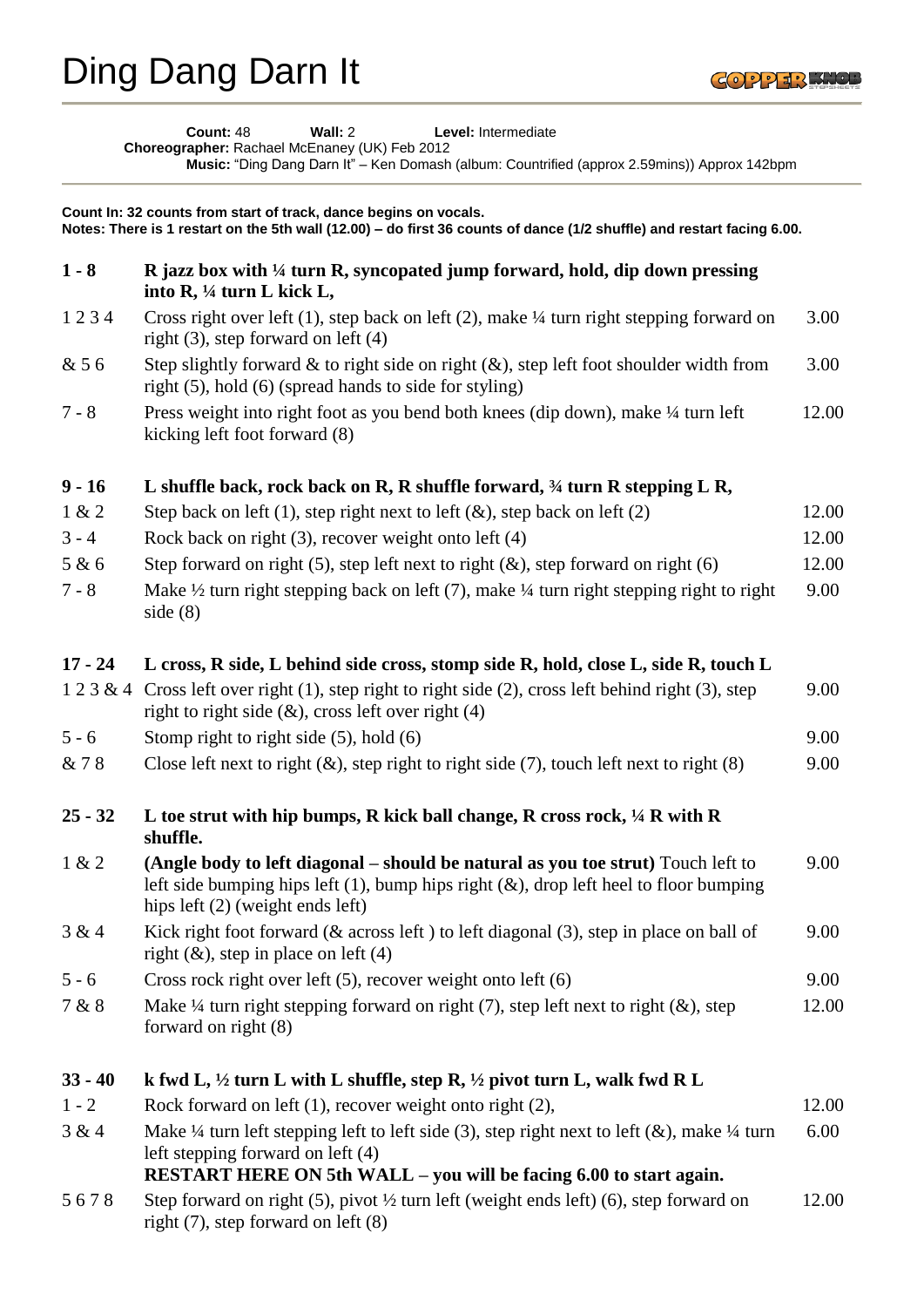

**Count:** 48 **Wall:** 2 **Level:** Intermediate **Choreographer:** Rachael McEnaney (UK) Feb 2012 **Music:** "Ding Dang Darn It" – Ken Domash (album: Countrified (approx 2.59mins)) Approx 142bpm

| Count In: 32 counts from start of track, dance begins on vocals.<br>Notes: There is 1 restart on the 5th wall (12.00) - do first 36 counts of dance (1/2 shuffle) and restart facing 6.00. |                                                                                                                                                                                                                                     |       |  |
|--------------------------------------------------------------------------------------------------------------------------------------------------------------------------------------------|-------------------------------------------------------------------------------------------------------------------------------------------------------------------------------------------------------------------------------------|-------|--|
| $1 - 8$                                                                                                                                                                                    | R jazz box with $\frac{1}{4}$ turn R, syncopated jump forward, hold, dip down pressing<br>into R, 1/4 turn L kick L,                                                                                                                |       |  |
| 1234                                                                                                                                                                                       | Cross right over left $(1)$ , step back on left $(2)$ , make $\frac{1}{4}$ turn right stepping forward on<br>right $(3)$ , step forward on left $(4)$                                                                               | 3.00  |  |
| & 56                                                                                                                                                                                       | Step slightly forward $\&$ to right side on right $(\&)$ , step left foot shoulder width from<br>right (5), hold (6) (spread hands to side for styling)                                                                             | 3.00  |  |
| $7 - 8$                                                                                                                                                                                    | Press weight into right foot as you bend both knees (dip down), make 1/4 turn left<br>kicking left foot forward (8)                                                                                                                 | 12.00 |  |
| $9 - 16$                                                                                                                                                                                   | L shuffle back, rock back on R, R shuffle forward, $\frac{3}{4}$ turn R stepping L R,                                                                                                                                               |       |  |
| 1 & 2                                                                                                                                                                                      | Step back on left (1), step right next to left $(\&)$ , step back on left (2)                                                                                                                                                       | 12.00 |  |
| $3 - 4$                                                                                                                                                                                    | Rock back on right $(3)$ , recover weight onto left $(4)$                                                                                                                                                                           | 12.00 |  |
| 5 & 6                                                                                                                                                                                      | Step forward on right (5), step left next to right $(\&)$ , step forward on right (6)                                                                                                                                               | 12.00 |  |
| $7 - 8$                                                                                                                                                                                    | Make $\frac{1}{2}$ turn right stepping back on left (7), make $\frac{1}{4}$ turn right stepping right to right<br>side $(8)$                                                                                                        | 9.00  |  |
| $17 - 24$                                                                                                                                                                                  | L cross, R side, L behind side cross, stomp side R, hold, close L, side R, touch L                                                                                                                                                  |       |  |
| 123&4                                                                                                                                                                                      | Cross left over right $(1)$ , step right to right side $(2)$ , cross left behind right $(3)$ , step<br>right to right side $(\&)$ , cross left over right (4)                                                                       | 9.00  |  |
| $5 - 6$                                                                                                                                                                                    | Stomp right to right side $(5)$ , hold $(6)$                                                                                                                                                                                        | 9.00  |  |
| & 78                                                                                                                                                                                       | Close left next to right $(\&)$ , step right to right side (7), touch left next to right $(8)$                                                                                                                                      | 9.00  |  |
| $25 - 32$                                                                                                                                                                                  | L toe strut with hip bumps, R kick ball change, R cross rock, $\frac{1}{4}$ R with R<br>shuffle.                                                                                                                                    |       |  |
| 1 & 2                                                                                                                                                                                      | (Angle body to left diagonal – should be natural as you toe strut) Touch left to<br>left side bumping hips left $(1)$ , bump hips right $(\&)$ , drop left heel to floor bumping<br>hips left $(2)$ (weight ends left)              | 9.00  |  |
| 3 & 4                                                                                                                                                                                      | Kick right foot forward ( $&$ across left ) to left diagonal (3), step in place on ball of<br>right $(\&)$ , step in place on left $(4)$                                                                                            | 9.00  |  |
| $5 - 6$                                                                                                                                                                                    | Cross rock right over left $(5)$ , recover weight onto left $(6)$                                                                                                                                                                   | 9.00  |  |
| 7 & 8                                                                                                                                                                                      | Make $\frac{1}{4}$ turn right stepping forward on right (7), step left next to right (&), step<br>forward on right (8)                                                                                                              | 12.00 |  |
| $33 - 40$                                                                                                                                                                                  | k fwd L, $\frac{1}{2}$ turn L with L shuffle, step R, $\frac{1}{2}$ pivot turn L, walk fwd R L                                                                                                                                      |       |  |
| $1 - 2$                                                                                                                                                                                    | Rock forward on left $(1)$ , recover weight onto right $(2)$ ,                                                                                                                                                                      | 12.00 |  |
| 3 & 4                                                                                                                                                                                      | Make $\frac{1}{4}$ turn left stepping left to left side (3), step right next to left (&), make $\frac{1}{4}$ turn<br>left stepping forward on left (4)<br><b>RESTART HERE ON 5th WALL – you will be facing 6.00 to start again.</b> | 6.00  |  |
| 5678                                                                                                                                                                                       | Step forward on right (5), pivot $\frac{1}{2}$ turn left (weight ends left) (6), step forward on<br>right (7), step forward on left (8)                                                                                             | 12.00 |  |